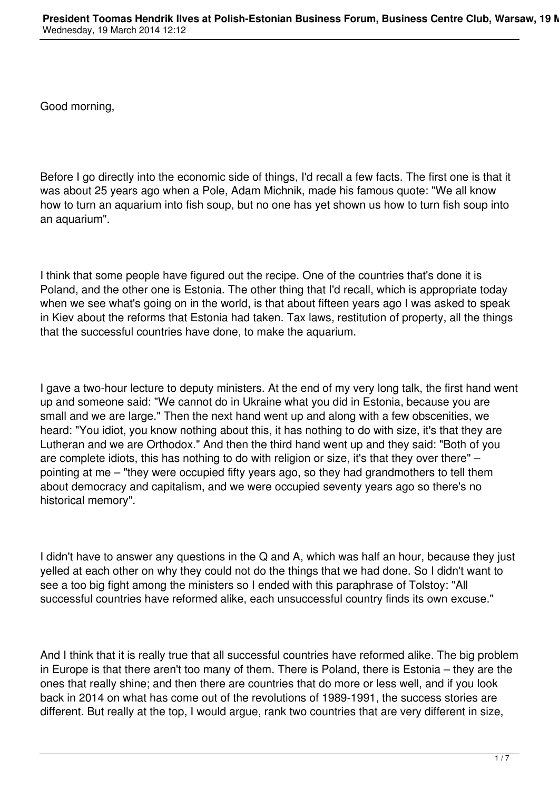Good morning,

Before I go directly into the economic side of things, I'd recall a few facts. The first one is that it was about 25 years ago when a Pole, Adam Michnik, made his famous quote: "We all know how to turn an aquarium into fish soup, but no one has yet shown us how to turn fish soup into an aquarium".

I think that some people have figured out the recipe. One of the countries that's done it is Poland, and the other one is Estonia. The other thing that I'd recall, which is appropriate today when we see what's going on in the world, is that about fifteen years ago I was asked to speak in Kiev about the reforms that Estonia had taken. Tax laws, restitution of property, all the things that the successful countries have done, to make the aquarium.

I gave a two-hour lecture to deputy ministers. At the end of my very long talk, the first hand went up and someone said: "We cannot do in Ukraine what you did in Estonia, because you are small and we are large." Then the next hand went up and along with a few obscenities, we heard: "You idiot, you know nothing about this, it has nothing to do with size, it's that they are Lutheran and we are Orthodox." And then the third hand went up and they said: "Both of you are complete idiots, this has nothing to do with religion or size, it's that they over there" – pointing at me – "they were occupied fifty years ago, so they had grandmothers to tell them about democracy and capitalism, and we were occupied seventy years ago so there's no historical memory".

I didn't have to answer any questions in the Q and A, which was half an hour, because they just yelled at each other on why they could not do the things that we had done. So I didn't want to see a too big fight among the ministers so I ended with this paraphrase of Tolstoy: "All successful countries have reformed alike, each unsuccessful country finds its own excuse."

And I think that it is really true that all successful countries have reformed alike. The big problem in Europe is that there aren't too many of them. There is Poland, there is Estonia – they are the ones that really shine; and then there are countries that do more or less well, and if you look back in 2014 on what has come out of the revolutions of 1989-1991, the success stories are different. But really at the top, I would argue, rank two countries that are very different in size,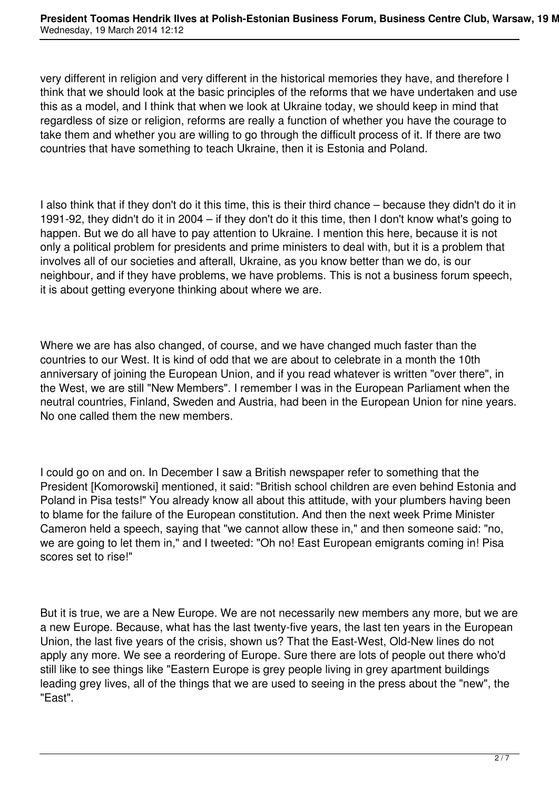very different in religion and very different in the historical memories they have, and therefore I think that we should look at the basic principles of the reforms that we have undertaken and use this as a model, and I think that when we look at Ukraine today, we should keep in mind that regardless of size or religion, reforms are really a function of whether you have the courage to take them and whether you are willing to go through the difficult process of it. If there are two countries that have something to teach Ukraine, then it is Estonia and Poland.

I also think that if they don't do it this time, this is their third chance – because they didn't do it in 1991-92, they didn't do it in 2004 – if they don't do it this time, then I don't know what's going to happen. But we do all have to pay attention to Ukraine. I mention this here, because it is not only a political problem for presidents and prime ministers to deal with, but it is a problem that involves all of our societies and afterall, Ukraine, as you know better than we do, is our neighbour, and if they have problems, we have problems. This is not a business forum speech, it is about getting everyone thinking about where we are.

Where we are has also changed, of course, and we have changed much faster than the countries to our West. It is kind of odd that we are about to celebrate in a month the 10th anniversary of joining the European Union, and if you read whatever is written "over there", in the West, we are still "New Members". I remember I was in the European Parliament when the neutral countries, Finland, Sweden and Austria, had been in the European Union for nine years. No one called them the new members.

I could go on and on. In December I saw a British newspaper refer to something that the President [Komorowski] mentioned, it said: "British school children are even behind Estonia and Poland in Pisa tests!" You already know all about this attitude, with your plumbers having been to blame for the failure of the European constitution. And then the next week Prime Minister Cameron held a speech, saying that "we cannot allow these in," and then someone said: "no, we are going to let them in," and I tweeted: "Oh no! East European emigrants coming in! Pisa scores set to rise!"

But it is true, we are a New Europe. We are not necessarily new members any more, but we are a new Europe. Because, what has the last twenty-five years, the last ten years in the European Union, the last five years of the crisis, shown us? That the East-West, Old-New lines do not apply any more. We see a reordering of Europe. Sure there are lots of people out there who'd still like to see things like "Eastern Europe is grey people living in grey apartment buildings leading grey lives, all of the things that we are used to seeing in the press about the "new", the "East".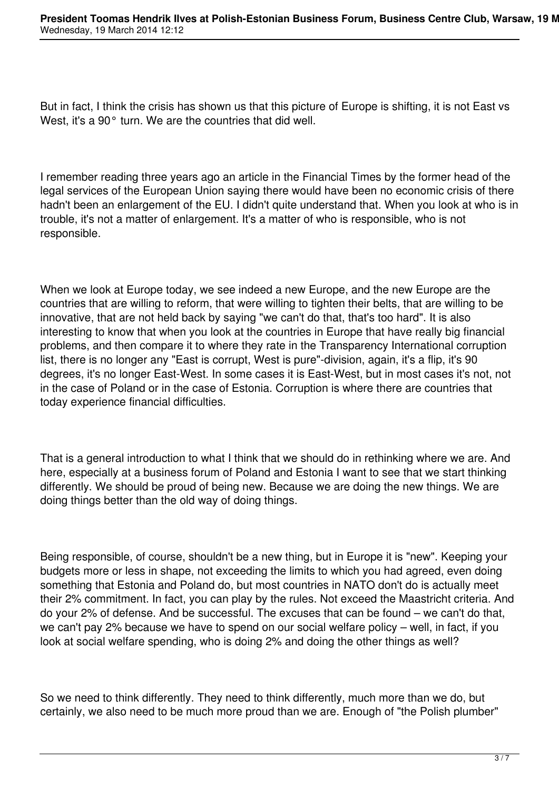But in fact, I think the crisis has shown us that this picture of Europe is shifting, it is not East vs West, it's a 90° turn. We are the countries that did well.

I remember reading three years ago an article in the Financial Times by the former head of the legal services of the European Union saying there would have been no economic crisis of there hadn't been an enlargement of the EU. I didn't quite understand that. When you look at who is in trouble, it's not a matter of enlargement. It's a matter of who is responsible, who is not responsible.

When we look at Europe today, we see indeed a new Europe, and the new Europe are the countries that are willing to reform, that were willing to tighten their belts, that are willing to be innovative, that are not held back by saying "we can't do that, that's too hard". It is also interesting to know that when you look at the countries in Europe that have really big financial problems, and then compare it to where they rate in the Transparency International corruption list, there is no longer any "East is corrupt, West is pure"-division, again, it's a flip, it's 90 degrees, it's no longer East-West. In some cases it is East-West, but in most cases it's not, not in the case of Poland or in the case of Estonia. Corruption is where there are countries that today experience financial difficulties.

That is a general introduction to what I think that we should do in rethinking where we are. And here, especially at a business forum of Poland and Estonia I want to see that we start thinking differently. We should be proud of being new. Because we are doing the new things. We are doing things better than the old way of doing things.

Being responsible, of course, shouldn't be a new thing, but in Europe it is "new". Keeping your budgets more or less in shape, not exceeding the limits to which you had agreed, even doing something that Estonia and Poland do, but most countries in NATO don't do is actually meet their 2% commitment. In fact, you can play by the rules. Not exceed the Maastricht criteria. And do your 2% of defense. And be successful. The excuses that can be found – we can't do that, we can't pay 2% because we have to spend on our social welfare policy – well, in fact, if you look at social welfare spending, who is doing 2% and doing the other things as well?

So we need to think differently. They need to think differently, much more than we do, but certainly, we also need to be much more proud than we are. Enough of "the Polish plumber"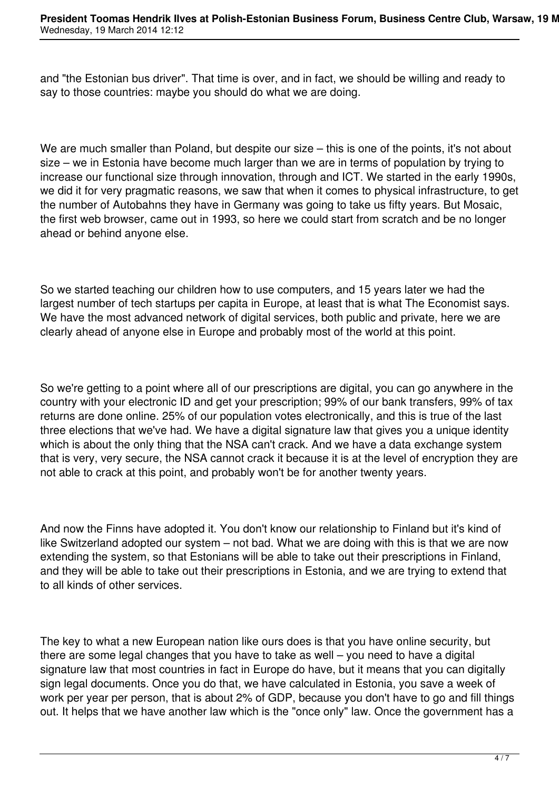and "the Estonian bus driver". That time is over, and in fact, we should be willing and ready to say to those countries: maybe you should do what we are doing.

We are much smaller than Poland, but despite our size – this is one of the points, it's not about size – we in Estonia have become much larger than we are in terms of population by trying to increase our functional size through innovation, through and ICT. We started in the early 1990s, we did it for very pragmatic reasons, we saw that when it comes to physical infrastructure, to get the number of Autobahns they have in Germany was going to take us fifty years. But Mosaic, the first web browser, came out in 1993, so here we could start from scratch and be no longer ahead or behind anyone else.

So we started teaching our children how to use computers, and 15 years later we had the largest number of tech startups per capita in Europe, at least that is what The Economist says. We have the most advanced network of digital services, both public and private, here we are clearly ahead of anyone else in Europe and probably most of the world at this point.

So we're getting to a point where all of our prescriptions are digital, you can go anywhere in the country with your electronic ID and get your prescription; 99% of our bank transfers, 99% of tax returns are done online. 25% of our population votes electronically, and this is true of the last three elections that we've had. We have a digital signature law that gives you a unique identity which is about the only thing that the NSA can't crack. And we have a data exchange system that is very, very secure, the NSA cannot crack it because it is at the level of encryption they are not able to crack at this point, and probably won't be for another twenty years.

And now the Finns have adopted it. You don't know our relationship to Finland but it's kind of like Switzerland adopted our system – not bad. What we are doing with this is that we are now extending the system, so that Estonians will be able to take out their prescriptions in Finland, and they will be able to take out their prescriptions in Estonia, and we are trying to extend that to all kinds of other services.

The key to what a new European nation like ours does is that you have online security, but there are some legal changes that you have to take as well – you need to have a digital signature law that most countries in fact in Europe do have, but it means that you can digitally sign legal documents. Once you do that, we have calculated in Estonia, you save a week of work per year per person, that is about 2% of GDP, because you don't have to go and fill things out. It helps that we have another law which is the "once only" law. Once the government has a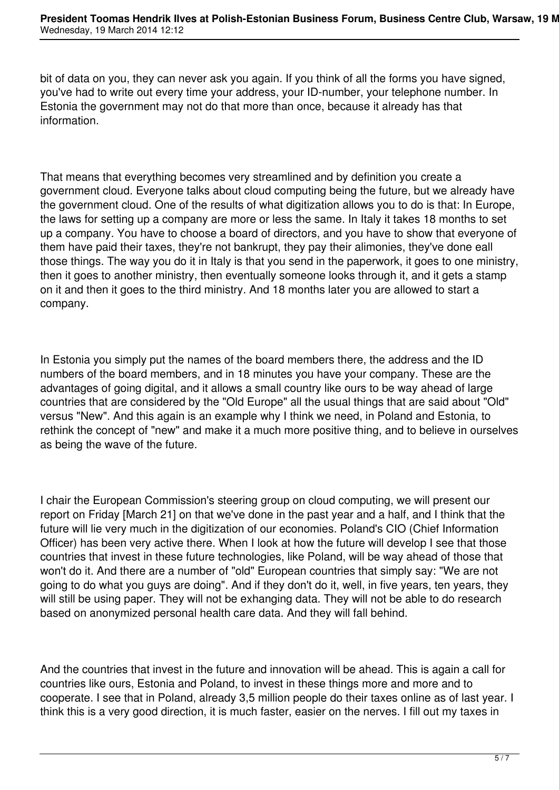bit of data on you, they can never ask you again. If you think of all the forms you have signed, you've had to write out every time your address, your ID-number, your telephone number. In Estonia the government may not do that more than once, because it already has that information.

That means that everything becomes very streamlined and by definition you create a government cloud. Everyone talks about cloud computing being the future, but we already have the government cloud. One of the results of what digitization allows you to do is that: In Europe, the laws for setting up a company are more or less the same. In Italy it takes 18 months to set up a company. You have to choose a board of directors, and you have to show that everyone of them have paid their taxes, they're not bankrupt, they pay their alimonies, they've done eall those things. The way you do it in Italy is that you send in the paperwork, it goes to one ministry, then it goes to another ministry, then eventually someone looks through it, and it gets a stamp on it and then it goes to the third ministry. And 18 months later you are allowed to start a company.

In Estonia you simply put the names of the board members there, the address and the ID numbers of the board members, and in 18 minutes you have your company. These are the advantages of going digital, and it allows a small country like ours to be way ahead of large countries that are considered by the "Old Europe" all the usual things that are said about "Old" versus "New". And this again is an example why I think we need, in Poland and Estonia, to rethink the concept of "new" and make it a much more positive thing, and to believe in ourselves as being the wave of the future.

I chair the European Commission's steering group on cloud computing, we will present our report on Friday [March 21] on that we've done in the past year and a half, and I think that the future will lie very much in the digitization of our economies. Poland's CIO (Chief Information Officer) has been very active there. When I look at how the future will develop I see that those countries that invest in these future technologies, like Poland, will be way ahead of those that won't do it. And there are a number of "old" European countries that simply say: "We are not going to do what you guys are doing". And if they don't do it, well, in five years, ten years, they will still be using paper. They will not be exhanging data. They will not be able to do research based on anonymized personal health care data. And they will fall behind.

And the countries that invest in the future and innovation will be ahead. This is again a call for countries like ours, Estonia and Poland, to invest in these things more and more and to cooperate. I see that in Poland, already 3,5 million people do their taxes online as of last year. I think this is a very good direction, it is much faster, easier on the nerves. I fill out my taxes in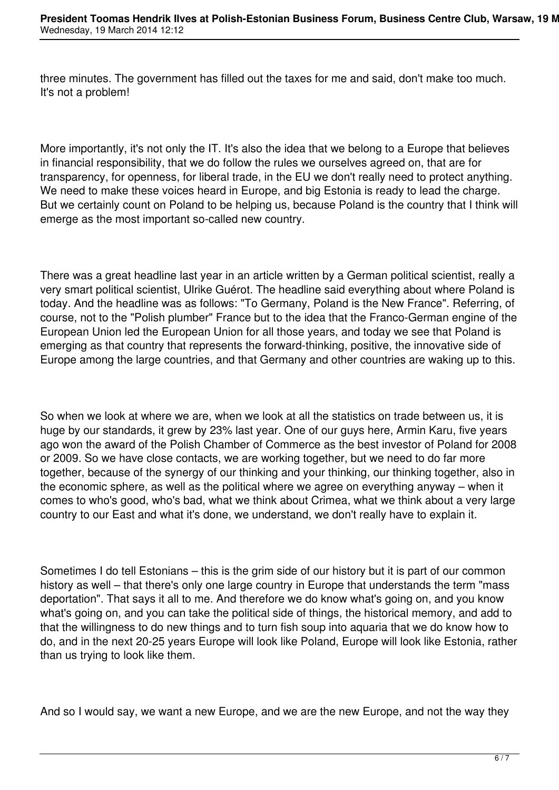three minutes. The government has filled out the taxes for me and said, don't make too much. It's not a problem!

More importantly, it's not only the IT. It's also the idea that we belong to a Europe that believes in financial responsibility, that we do follow the rules we ourselves agreed on, that are for transparency, for openness, for liberal trade, in the EU we don't really need to protect anything. We need to make these voices heard in Europe, and big Estonia is ready to lead the charge. But we certainly count on Poland to be helping us, because Poland is the country that I think will emerge as the most important so-called new country.

There was a great headline last year in an article written by a German political scientist, really a very smart political scientist, Ulrike Guérot. The headline said everything about where Poland is today. And the headline was as follows: "To Germany, Poland is the New France". Referring, of course, not to the "Polish plumber" France but to the idea that the Franco-German engine of the European Union led the European Union for all those years, and today we see that Poland is emerging as that country that represents the forward-thinking, positive, the innovative side of Europe among the large countries, and that Germany and other countries are waking up to this.

So when we look at where we are, when we look at all the statistics on trade between us, it is huge by our standards, it grew by 23% last year. One of our guys here, Armin Karu, five years ago won the award of the Polish Chamber of Commerce as the best investor of Poland for 2008 or 2009. So we have close contacts, we are working together, but we need to do far more together, because of the synergy of our thinking and your thinking, our thinking together, also in the economic sphere, as well as the political where we agree on everything anyway – when it comes to who's good, who's bad, what we think about Crimea, what we think about a very large country to our East and what it's done, we understand, we don't really have to explain it.

Sometimes I do tell Estonians – this is the grim side of our history but it is part of our common history as well – that there's only one large country in Europe that understands the term "mass deportation". That says it all to me. And therefore we do know what's going on, and you know what's going on, and you can take the political side of things, the historical memory, and add to that the willingness to do new things and to turn fish soup into aquaria that we do know how to do, and in the next 20-25 years Europe will look like Poland, Europe will look like Estonia, rather than us trying to look like them.

And so I would say, we want a new Europe, and we are the new Europe, and not the way they